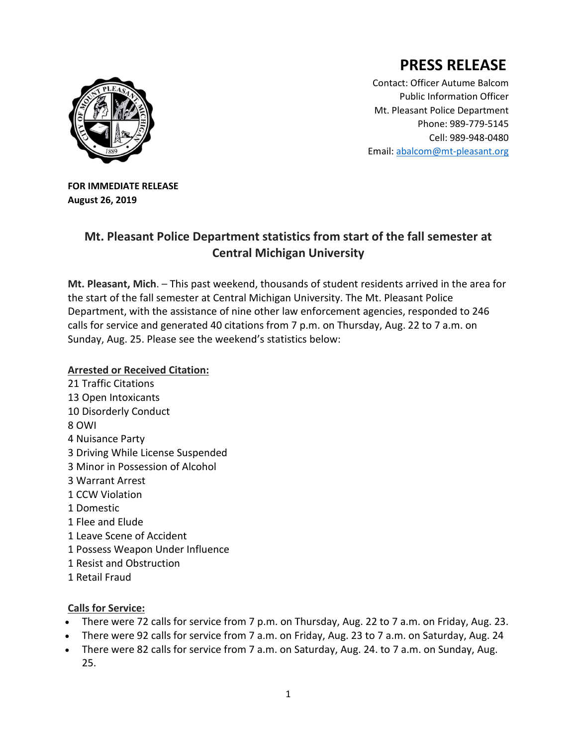## **PRESS RELEASE**



Contact: Officer Autume Balcom Public Information Officer Mt. Pleasant Police Department Phone: 989-779-5145 Cell: 989-948-0480 Email[: abalcom@mt-pleasant.org](mailto:abalcom@mt-pleasant.org)

**FOR IMMEDIATE RELEASE August 26, 2019**

## **Mt. Pleasant Police Department statistics from start of the fall semester at Central Michigan University**

**Mt. Pleasant, Mich**. – This past weekend, thousands of student residents arrived in the area for the start of the fall semester at Central Michigan University. The Mt. Pleasant Police Department, with the assistance of nine other law enforcement agencies, responded to 246 calls for service and generated 40 citations from 7 p.m. on Thursday, Aug. 22 to 7 a.m. on Sunday, Aug. 25. Please see the weekend's statistics below:

## **Arrested or Received Citation:**

21 Traffic Citations 13 Open Intoxicants 10 Disorderly Conduct 8 OWI 4 Nuisance Party 3 Driving While License Suspended 3 Minor in Possession of Alcohol 3 Warrant Arrest 1 CCW Violation 1 Domestic 1 Flee and Elude 1 Leave Scene of Accident 1 Possess Weapon Under Influence 1 Resist and Obstruction 1 Retail Fraud

## **Calls for Service:**

- There were 72 calls for service from 7 p.m. on Thursday, Aug. 22 to 7 a.m. on Friday, Aug. 23.
- There were 92 calls for service from 7 a.m. on Friday, Aug. 23 to 7 a.m. on Saturday, Aug. 24
- There were 82 calls for service from 7 a.m. on Saturday, Aug. 24. to 7 a.m. on Sunday, Aug. 25.